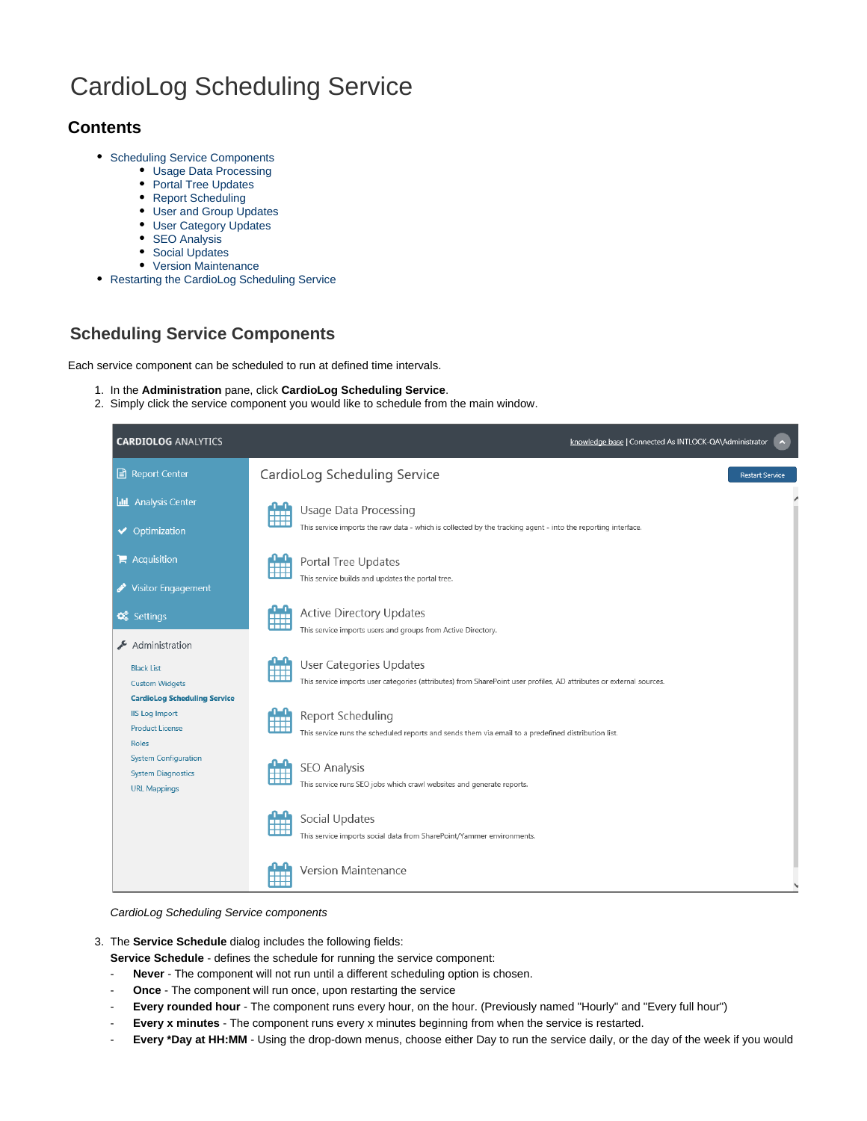# CardioLog Scheduling Service

# **Contents**

- [Scheduling Service Components](#page-0-0)
	- [Usage Data Processing](#page-1-0)
	- [Portal Tree Updates](#page-2-0)
	- [Report Scheduling](#page-3-0)
	- [User and Group Updates](#page-4-0)
	- [User Category Updates](#page-5-0)
	- [SEO Analysis](#page-6-0)
	- [Social Updates](#page-7-0)
	- [Version Maintenance](#page-8-0)
- [Restarting the CardioLog Scheduling Service](#page-9-0)

# <span id="page-0-0"></span>**Scheduling Service Components**

Each service component can be scheduled to run at defined time intervals.

- 1. In the **Administration** pane, click **CardioLog Scheduling Service**.
- 2. Simply click the service component you would like to schedule from the main window.

| <b>CARDIOLOG ANALYTICS</b>                                                                          | knowledge base   Connected As INTLOCK-QA\Administrator<br>$\blacktriangle$                                                                          |
|-----------------------------------------------------------------------------------------------------|-----------------------------------------------------------------------------------------------------------------------------------------------------|
| Report Center                                                                                       | CardioLog Scheduling Service<br><b>Restart Service</b>                                                                                              |
| <b>III</b> Analysis Center                                                                          | <b>Usage Data Processing</b><br>瞴<br>This service imports the raw data - which is collected by the tracking agent - into the reporting interface.   |
| ◆ Optimization<br>$\blacksquare$ Acquisition                                                        | Portal Tree Updates                                                                                                                                 |
| <b>Visitor Engagement</b>                                                                           | This service builds and updates the portal tree.                                                                                                    |
| $\mathbf{\ddot{Q}_5}^8$ Settings                                                                    | <b>Active Directory Updates</b><br>W<br>This service imports users and groups from Active Directory.                                                |
| Administration<br><b>Black List</b><br><b>Custom Widgets</b><br><b>CardioLog Scheduling Service</b> | User Categories Updates<br>W<br>This service imports user categories (attributes) from SharePoint user profiles, AD attributes or external sources. |
| <b>IIS Log Import</b><br><b>Product License</b><br>Roles                                            | Report Scheduling<br>This service runs the scheduled reports and sends them via email to a predefined distribution list.                            |
| <b>System Configuration</b><br><b>System Diagnostics</b><br><b>URL Mappings</b>                     | <b>SEO Analysis</b><br>鹽<br>This service runs SEO jobs which crawl websites and generate reports.                                                   |
|                                                                                                     | Social Updates<br>m.<br>This service imports social data from SharePoint/Yammer environments.                                                       |
|                                                                                                     | <b>Version Maintenance</b>                                                                                                                          |

#### CardioLog Scheduling Service components

- 3. The **Service Schedule** dialog includes the following fields:
	- **Service Schedule**  defines the schedule for running the service component:
	- **Never** The component will not run until a different scheduling option is chosen.
	- **Once**  The component will run once, upon restarting the service
	- Every rounded hour The component runs every hour, on the hour. (Previously named "Hourly" and "Every full hour")
	- **Every x minutes** The component runs every x minutes beginning from when the service is restarted.
	- **Every \*Day at HH:MM** Using the drop-down menus, choose either Day to run the service daily, or the day of the week if you would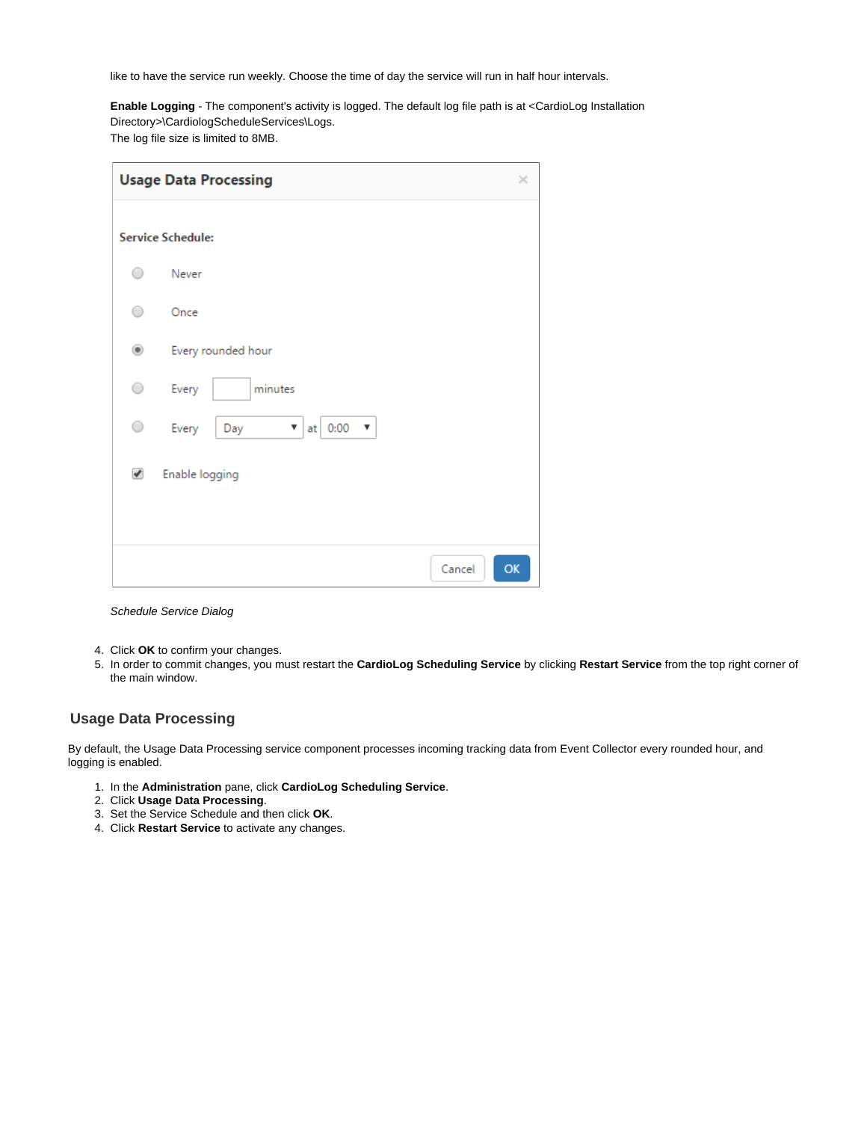like to have the service run weekly. Choose the time of day the service will run in half hour intervals.

**Enable Logging** - The component's activity is logged. The default log file path is at <CardioLog Installation Directory>\CardiologScheduleServices\Logs.

The log file size is limited to 8MB.

|                | <b>Usage Data Processing</b>                | × |  |
|----------------|---------------------------------------------|---|--|
|                | <b>Service Schedule:</b>                    |   |  |
| ∩              | Never                                       |   |  |
| ∩              | Once                                        |   |  |
| $\circledcirc$ | Every rounded hour                          |   |  |
| ∩              | minutes<br>Every                            |   |  |
| ○              | Every<br>at 0:00<br>Day<br>▼<br>$\mathbf w$ |   |  |
| ✔              | Enable logging                              |   |  |
|                | OK<br>Cancel                                |   |  |

#### Schedule Service Dialog

- 4. Click **OK** to confirm your changes.
- 5. In order to commit changes, you must restart the **CardioLog Scheduling Service** by clicking **Restart Service** from the top right corner of the main window.

#### <span id="page-1-0"></span>**Usage Data Processing**

By default, the Usage Data Processing service component processes incoming tracking data from Event Collector every rounded hour, and logging is enabled.

- 1. In the **Administration** pane, click **CardioLog Scheduling Service**.
- 2. Click **Usage Data Processing**.
- 3. Set the Service Schedule and then click **OK**.
- 4. Click **Restart Service** to activate any changes.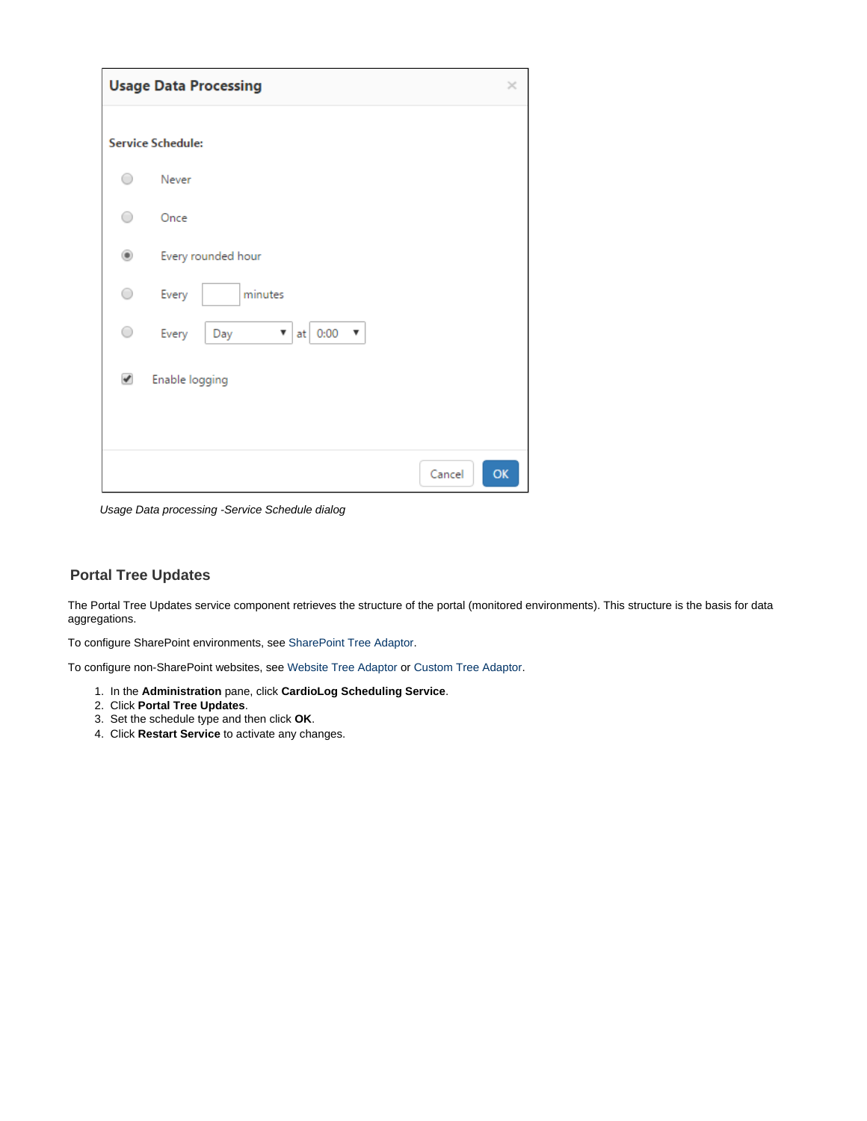|                | <b>Usage Data Processing</b>                             | × |
|----------------|----------------------------------------------------------|---|
|                | <b>Service Schedule:</b>                                 |   |
| $\rightarrow$  | Never                                                    |   |
| ∩              | Once                                                     |   |
| $\circledcirc$ | Every rounded hour                                       |   |
| ⌒              | minutes<br>Every                                         |   |
| 0              | at $0:00$<br>Every<br>Day<br>$\overline{\mathbf v}$<br>▼ |   |
| ✔              | Enable logging                                           |   |
|                |                                                          |   |
|                | OK<br>Cancel                                             |   |

Usage Data processing -Service Schedule dialog

### <span id="page-2-0"></span>**Portal Tree Updates**

The Portal Tree Updates service component retrieves the structure of the portal (monitored environments). This structure is the basis for data aggregations.

To configure SharePoint environments, see [SharePoint Tree Adaptor](https://kb.intlock.com/display/Support/SharePoint+Tree+Adaptor).

To configure non-SharePoint websites, see [Website Tree Adaptor](https://kb.intlock.com/display/Support/Website+Tree+Adaptor) or [Custom Tree Adaptor.](https://kb.intlock.com/display/Support/Custom+Tree+Adaptor)

- 1. In the **Administration** pane, click **CardioLog Scheduling Service**.
- 2. Click **Portal Tree Updates**.
- 3. Set the schedule type and then click **OK**.
- 4. Click **Restart Service** to activate any changes.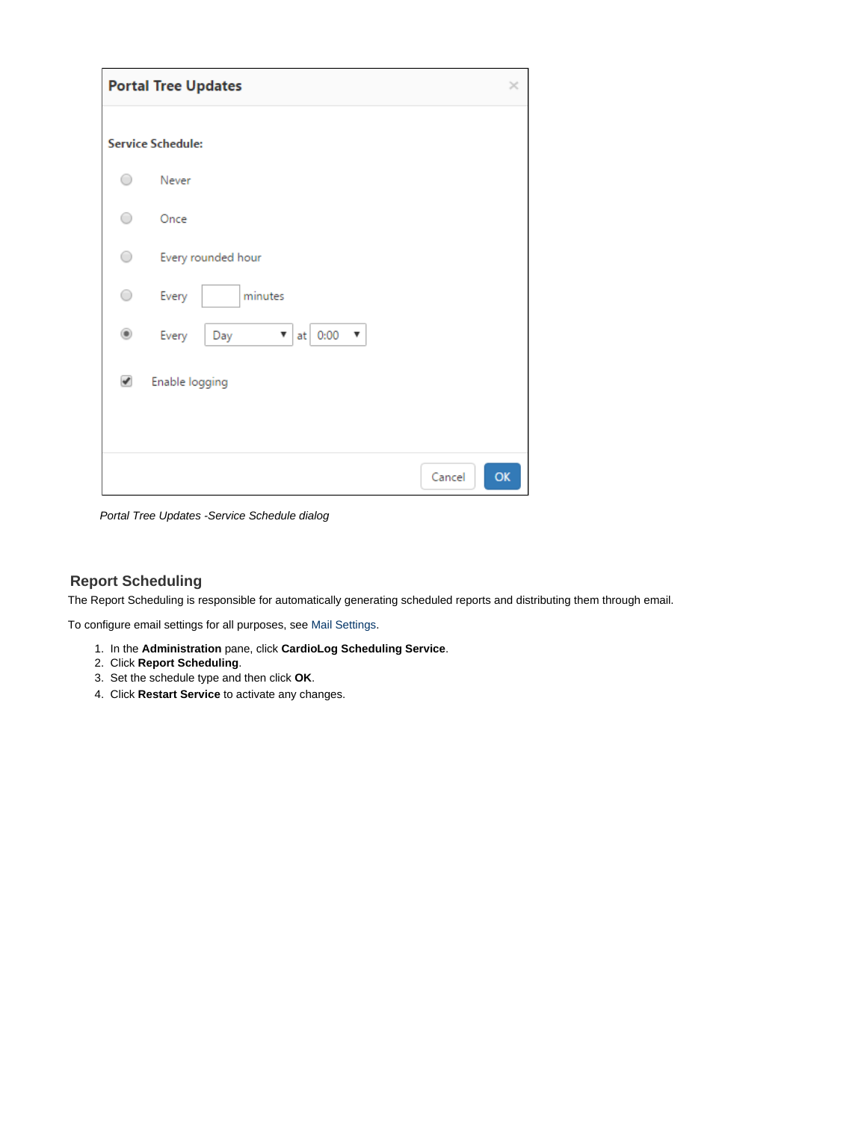|                      | <b>Portal Tree Updates</b>                | $\times$ |
|----------------------|-------------------------------------------|----------|
|                      | <b>Service Schedule:</b>                  |          |
| ◯                    | Never                                     |          |
| ∩                    | Once                                      |          |
| ∩                    | Every rounded hour                        |          |
| ○                    | minutes<br>Every                          |          |
| ۰                    | Every<br>at $\vert$ 0:00<br>Day<br>▼<br>v |          |
| $\blacktriangledown$ | Enable logging                            |          |
|                      | Cancel                                    | OK       |

Portal Tree Updates -Service Schedule dialog

### <span id="page-3-0"></span>**Report Scheduling**

The Report Scheduling is responsible for automatically generating scheduled reports and distributing them through email.

To configure email settings for all purposes, see [Mail Settings.](https://kb.intlock.com/display/Support/Mail+Settings)

- 1. In the **Administration** pane, click **CardioLog Scheduling Service**.
- 2. Click **Report Scheduling**.
- 3. Set the schedule type and then click **OK**.
- 4. Click **Restart Service** to activate any changes.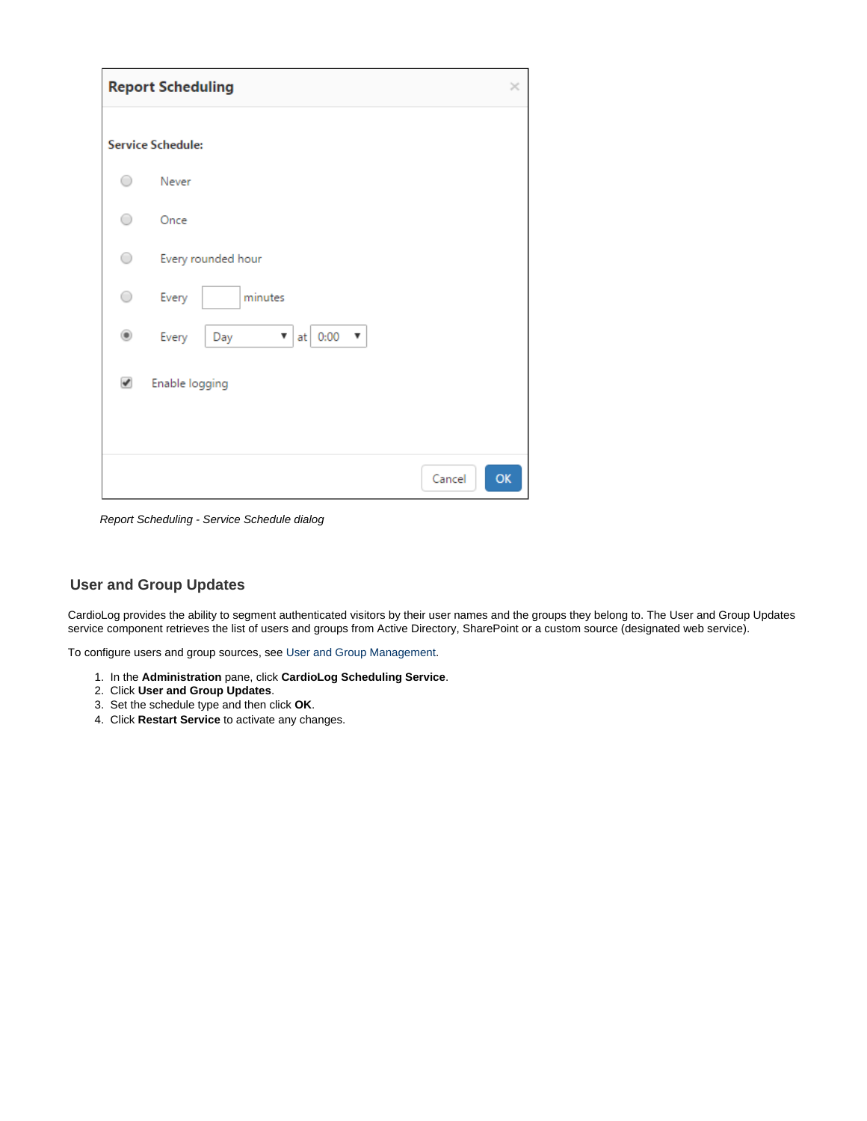|                      | <b>Report Scheduling</b>          | $\times$ |
|----------------------|-----------------------------------|----------|
|                      | <b>Service Schedule:</b>          |          |
| ◯                    | Never                             |          |
| ∩                    | Once                              |          |
| ○                    | Every rounded hour                |          |
| 0                    | Every<br>minutes                  |          |
| $^{\circ}$           | Every<br>at 0:00<br>Day<br>▼<br>v |          |
| $\blacktriangledown$ | Enable logging                    |          |
|                      |                                   |          |
|                      | Cancel<br>OK                      |          |

Report Scheduling - Service Schedule dialog

## <span id="page-4-0"></span>**User and Group Updates**

CardioLog provides the ability to segment authenticated visitors by their user names and the groups they belong to. The User and Group Updates service component retrieves the list of users and groups from Active Directory, SharePoint or a custom source (designated web service).

To configure users and group sources, see [User and Group Management.](https://kb.intlock.com/display/Support/User+and+Group+Management)

- 1. In the **Administration** pane, click **CardioLog Scheduling Service**.
- 2. Click **User and Group Updates**.
- 3. Set the schedule type and then click **OK**.
- 4. Click **Restart Service** to activate any changes.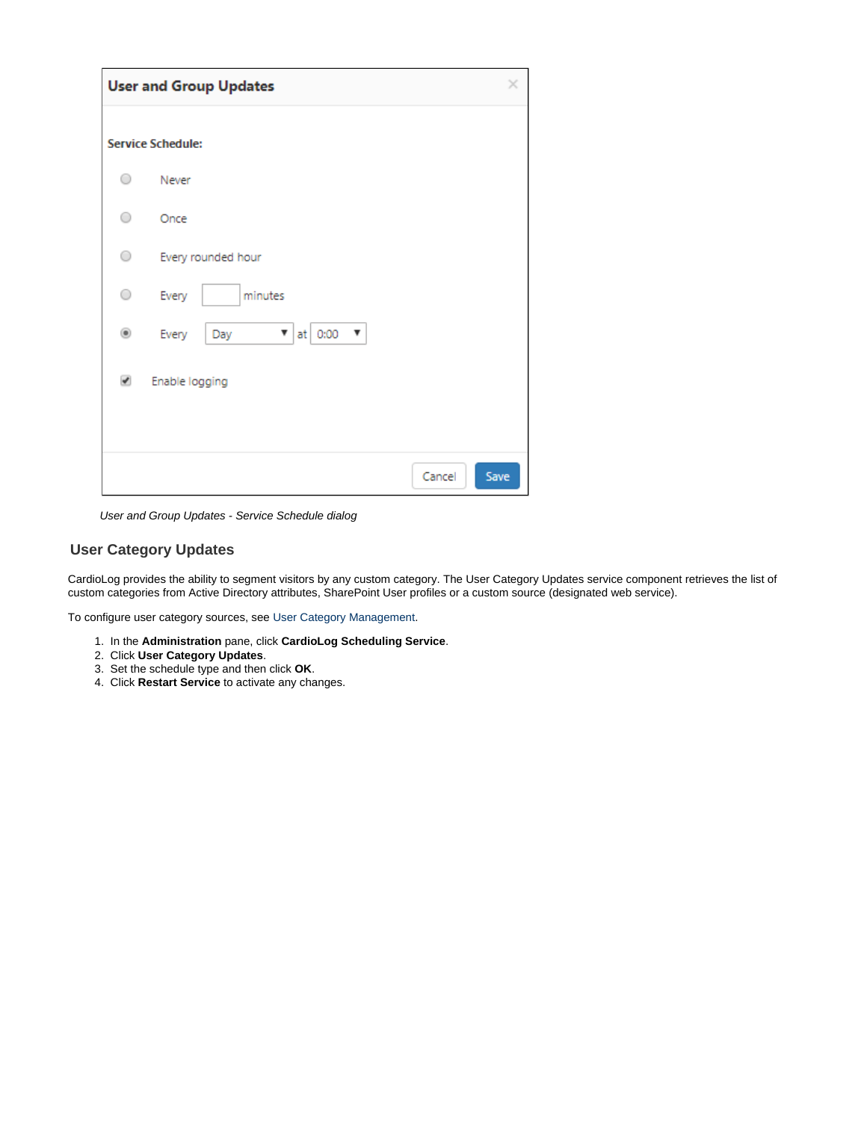|                         | <b>User and Group Updates</b>     | ×    |
|-------------------------|-----------------------------------|------|
|                         | <b>Service Schedule:</b>          |      |
| ∩                       | Never                             |      |
| ○                       | Once                              |      |
| 0                       | Every rounded hour                |      |
| 0                       | minutes<br>Every                  |      |
| ۰                       | at 0:00<br>Every<br>▼<br>Day<br>▼ |      |
| $\overline{\mathbf{v}}$ | Enable logging                    |      |
|                         |                                   |      |
|                         | Cancel                            | Save |

User and Group Updates - Service Schedule dialog

## <span id="page-5-0"></span>**User Category Updates**

CardioLog provides the ability to segment visitors by any custom category. The User Category Updates service component retrieves the list of custom categories from Active Directory attributes, SharePoint User profiles or a custom source (designated web service).

To configure user category sources, see [User Category Management](https://kb.intlock.com/display/Support/User+Category+Management).

- 1. In the **Administration** pane, click **CardioLog Scheduling Service**.
- 2. Click **User Category Updates**.
- 3. Set the schedule type and then click **OK**.
- 4. Click **Restart Service** to activate any changes.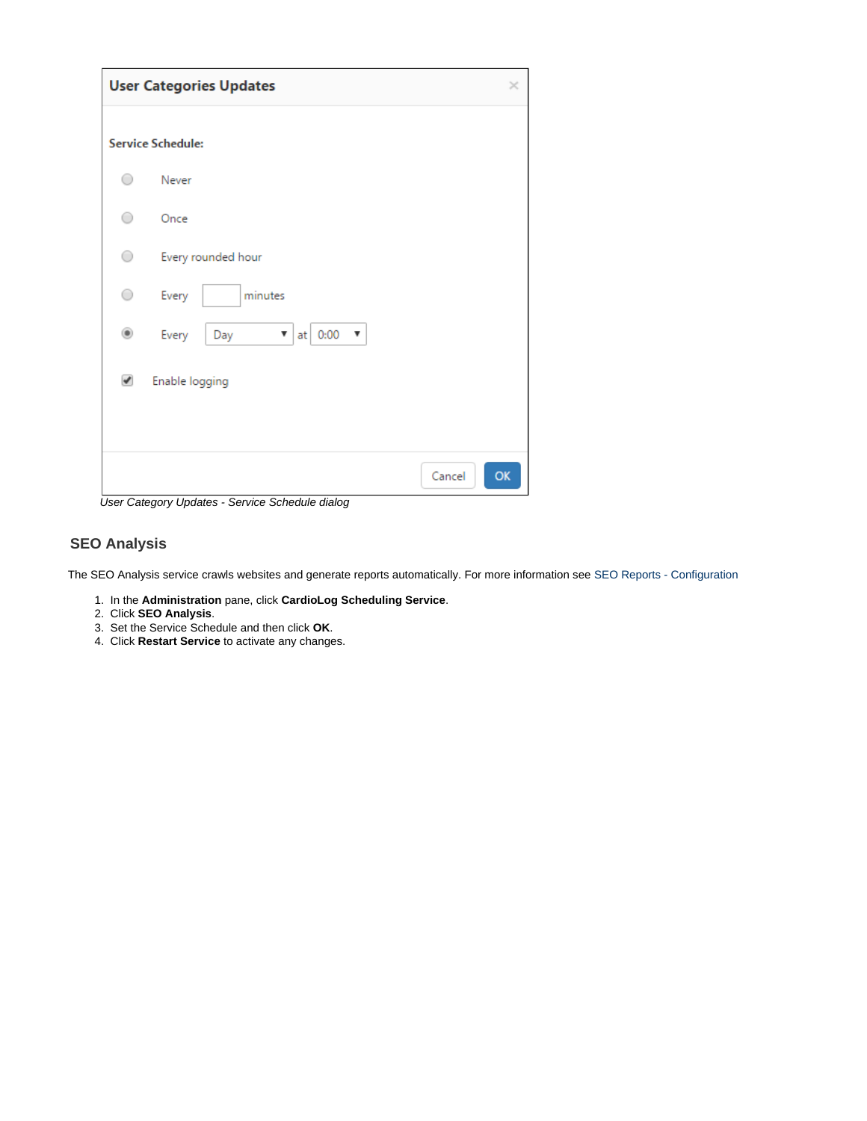|            | <b>User Categories Updates</b>                          | $\times$ |
|------------|---------------------------------------------------------|----------|
|            | <b>Service Schedule:</b>                                |          |
| ∍          | Never                                                   |          |
| ∩          | Once                                                    |          |
| $\bigcirc$ | Every rounded hour                                      |          |
| ○          | minutes<br>Every                                        |          |
| ۰          | Every<br>at 0:00<br>Day<br>v<br>$\overline{\mathbf{v}}$ |          |
| ✔          | Enable logging                                          |          |
|            |                                                         |          |
|            | OK<br>Cancel                                            |          |

User Category Updates - Service Schedule dialog

## <span id="page-6-0"></span>**SEO Analysis**

The SEO Analysis service crawls websites and generate reports automatically. For more information see [SEO Reports - Configuration](https://kb.intlock.com/display/Support/SEO+Reports+-+Configuration)

- 1. In the **Administration** pane, click **CardioLog Scheduling Service**.
- 2. Click **SEO Analysis**.
- 3. Set the Service Schedule and then click **OK**.
- 4. Click **Restart Service** to activate any changes.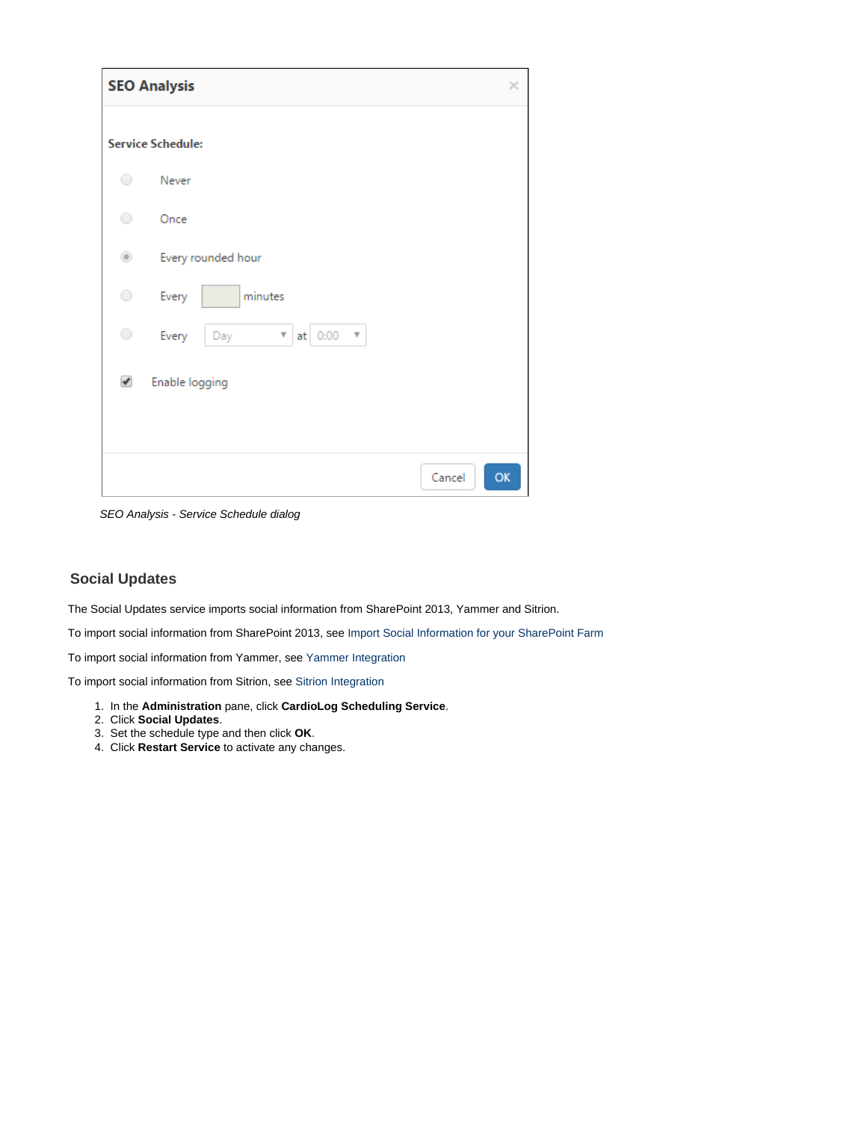|            | <b>SEO Analysis</b>                                                             | ×  |
|------------|---------------------------------------------------------------------------------|----|
|            | <b>Service Schedule:</b>                                                        |    |
| $\bigcirc$ | Never                                                                           |    |
| 0          | Once                                                                            |    |
| $^{\circ}$ | Every rounded hour                                                              |    |
| 0          | Every<br>minutes                                                                |    |
| $\bigcirc$ | Every<br>at 0:00<br>Day<br>$\boldsymbol{\mathrm{v}}$<br>$\overline{\mathbf{v}}$ |    |
| ✔          | Enable logging                                                                  |    |
|            |                                                                                 |    |
|            | Cancel                                                                          | OK |

SEO Analysis - Service Schedule dialog

#### <span id="page-7-0"></span>**Social Updates**

The Social Updates service imports social information from SharePoint 2013, Yammer and Sitrion.

To import social information from SharePoint 2013, see [Import Social Information for your SharePoint Farm](http://kb.intlock.com/display/Support/SharePoint+Tree+Adaptor#SharePointTreeAdaptor-importsocialImportSocialInformationforyourSharePointFarm)

To import social information from Yammer, see [Yammer Integration](https://kb.intlock.com/display/Support/Yammer+Integration)

To import social information from Sitrion, see [Sitrion Integration](https://kb.intlock.com/display/Support/Sitrion+Integration)

- 1. In the **Administration** pane, click **CardioLog Scheduling Service**.
- 2. Click **Social Updates**.
- 3. Set the schedule type and then click **OK**.
- 4. Click **Restart Service** to activate any changes.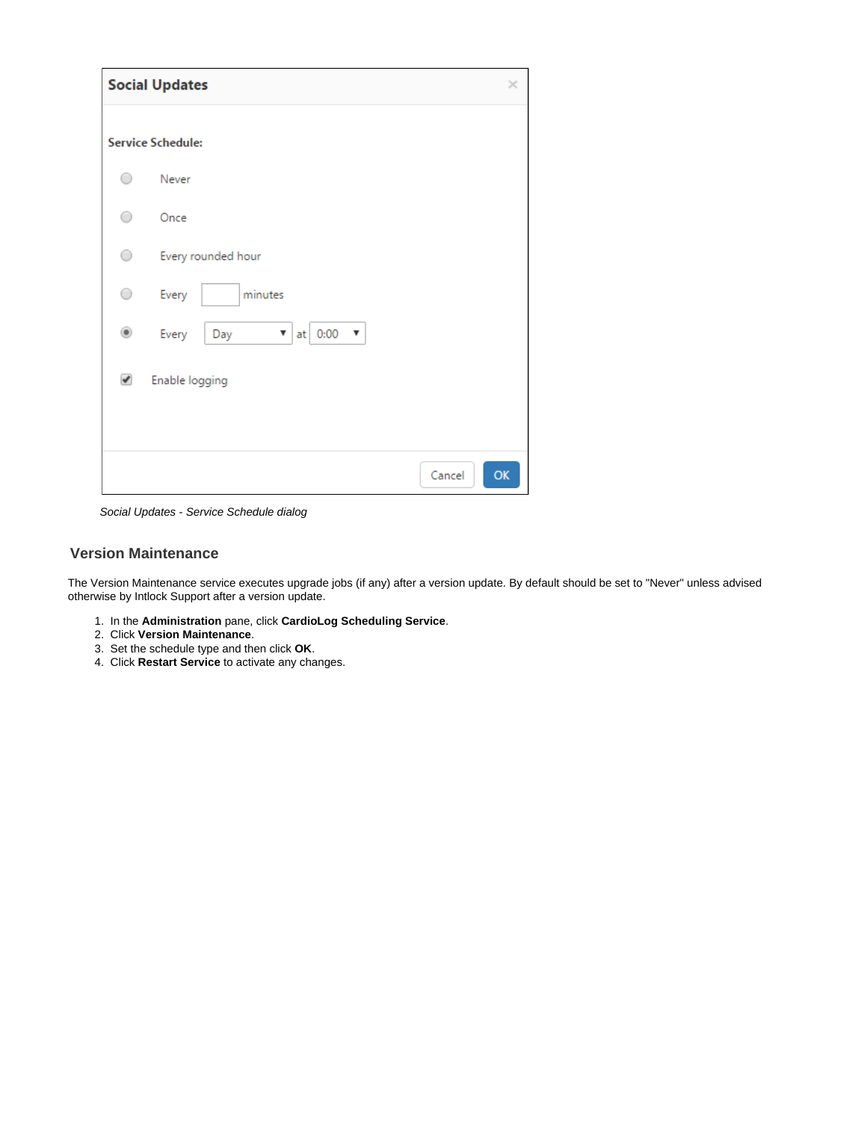|               | <b>Social Updates</b>             | ×  |  |  |
|---------------|-----------------------------------|----|--|--|
|               | <b>Service Schedule:</b>          |    |  |  |
|               | Never                             |    |  |  |
|               | Once                              |    |  |  |
| ○             | Every rounded hour                |    |  |  |
| ∩             | Every<br>minutes                  |    |  |  |
| $\circledast$ | Every<br>at 0:00<br>Day<br>▼<br>v |    |  |  |
| ✔             | Enable logging                    |    |  |  |
|               |                                   |    |  |  |
|               | Cancel                            | OK |  |  |

Social Updates - Service Schedule dialog

#### <span id="page-8-0"></span>**Version Maintenance**

The Version Maintenance service executes upgrade jobs (if any) after a version update. By default should be set to "Never" unless advised otherwise by Intlock Support after a version update.

- 1. In the **Administration** pane, click **CardioLog Scheduling Service**.
- 2. Click **Version Maintenance**.
- 3. Set the schedule type and then click **OK**.
- 4. Click **Restart Service** to activate any changes.